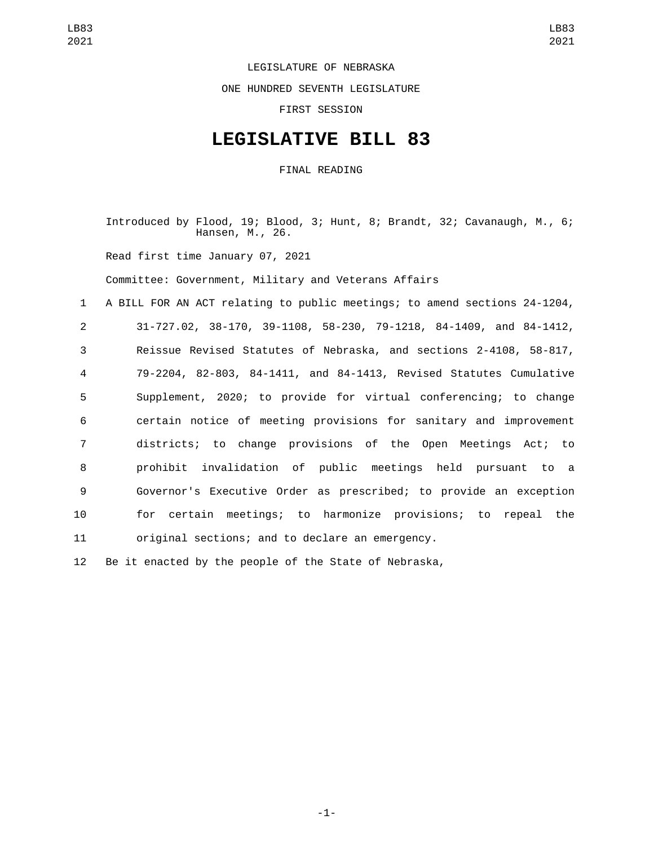## LEGISLATURE OF NEBRASKA

ONE HUNDRED SEVENTH LEGISLATURE

FIRST SESSION

## **LEGISLATIVE BILL 83**

FINAL READING

Introduced by Flood, 19; Blood, 3; Hunt, 8; Brandt, 32; Cavanaugh, M., 6; Hansen, M., 26.

Read first time January 07, 2021

Committee: Government, Military and Veterans Affairs

 A BILL FOR AN ACT relating to public meetings; to amend sections 24-1204, 31-727.02, 38-170, 39-1108, 58-230, 79-1218, 84-1409, and 84-1412, Reissue Revised Statutes of Nebraska, and sections 2-4108, 58-817, 79-2204, 82-803, 84-1411, and 84-1413, Revised Statutes Cumulative Supplement, 2020; to provide for virtual conferencing; to change certain notice of meeting provisions for sanitary and improvement districts; to change provisions of the Open Meetings Act; to prohibit invalidation of public meetings held pursuant to a Governor's Executive Order as prescribed; to provide an exception for certain meetings; to harmonize provisions; to repeal the original sections; and to declare an emergency.

12 Be it enacted by the people of the State of Nebraska,

-1-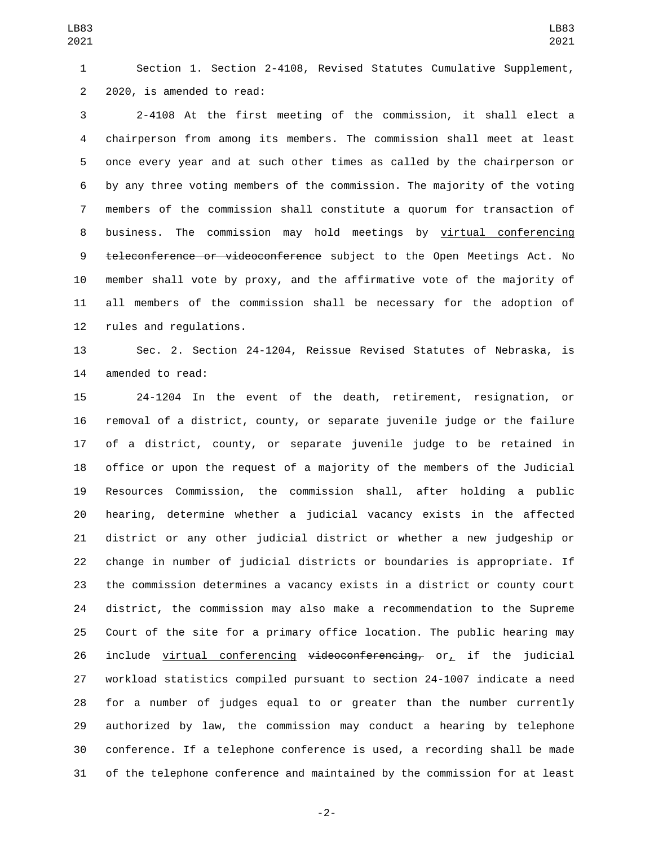Section 1. Section 2-4108, Revised Statutes Cumulative Supplement, 2 2020, is amended to read:

 2-4108 At the first meeting of the commission, it shall elect a chairperson from among its members. The commission shall meet at least once every year and at such other times as called by the chairperson or by any three voting members of the commission. The majority of the voting members of the commission shall constitute a quorum for transaction of business. The commission may hold meetings by virtual conferencing 9 teleconference or videoconference subject to the Open Meetings Act. No member shall vote by proxy, and the affirmative vote of the majority of all members of the commission shall be necessary for the adoption of 12 rules and regulations.

 Sec. 2. Section 24-1204, Reissue Revised Statutes of Nebraska, is 14 amended to read:

 24-1204 In the event of the death, retirement, resignation, or removal of a district, county, or separate juvenile judge or the failure of a district, county, or separate juvenile judge to be retained in office or upon the request of a majority of the members of the Judicial Resources Commission, the commission shall, after holding a public hearing, determine whether a judicial vacancy exists in the affected district or any other judicial district or whether a new judgeship or change in number of judicial districts or boundaries is appropriate. If the commission determines a vacancy exists in a district or county court district, the commission may also make a recommendation to the Supreme Court of the site for a primary office location. The public hearing may 26 include virtual conferencing  $v$ ideoconferencing, or, if the judicial workload statistics compiled pursuant to section 24-1007 indicate a need for a number of judges equal to or greater than the number currently authorized by law, the commission may conduct a hearing by telephone conference. If a telephone conference is used, a recording shall be made of the telephone conference and maintained by the commission for at least

-2-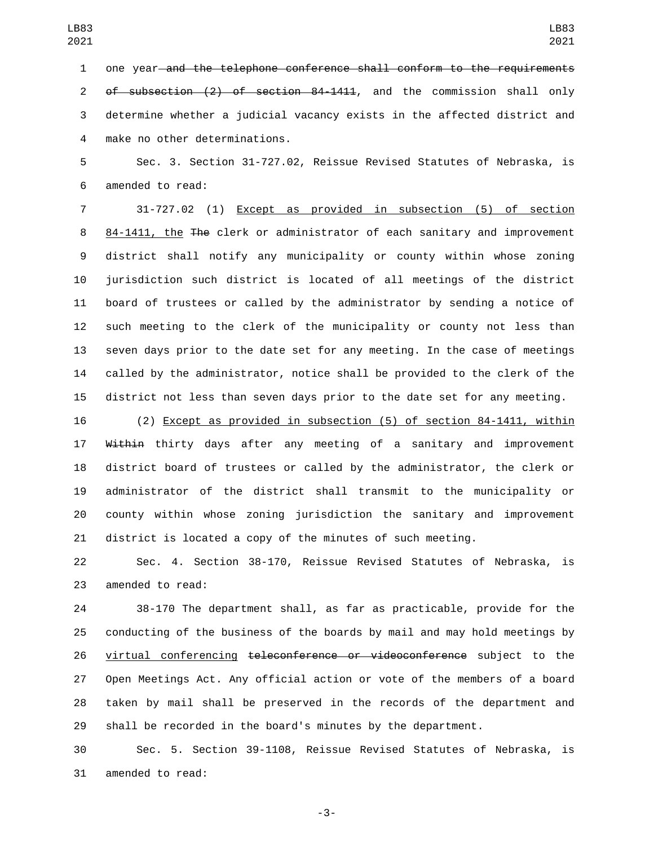one year and the telephone conference shall conform to the requirements of subsection (2) of section 84-1411, and the commission shall only determine whether a judicial vacancy exists in the affected district and make no other determinations.4

 Sec. 3. Section 31-727.02, Reissue Revised Statutes of Nebraska, is 6 amended to read:

 31-727.02 (1) Except as provided in subsection (5) of section 84-1411, the The clerk or administrator of each sanitary and improvement district shall notify any municipality or county within whose zoning jurisdiction such district is located of all meetings of the district board of trustees or called by the administrator by sending a notice of such meeting to the clerk of the municipality or county not less than seven days prior to the date set for any meeting. In the case of meetings called by the administrator, notice shall be provided to the clerk of the district not less than seven days prior to the date set for any meeting.

 (2) Except as provided in subsection (5) of section 84-1411, within 17 Within thirty days after any meeting of a sanitary and improvement district board of trustees or called by the administrator, the clerk or administrator of the district shall transmit to the municipality or county within whose zoning jurisdiction the sanitary and improvement district is located a copy of the minutes of such meeting.

 Sec. 4. Section 38-170, Reissue Revised Statutes of Nebraska, is 23 amended to read:

 38-170 The department shall, as far as practicable, provide for the conducting of the business of the boards by mail and may hold meetings by 26 virtual conferencing teleconference or videoconference subject to the Open Meetings Act. Any official action or vote of the members of a board taken by mail shall be preserved in the records of the department and shall be recorded in the board's minutes by the department.

 Sec. 5. Section 39-1108, Reissue Revised Statutes of Nebraska, is 31 amended to read:

-3-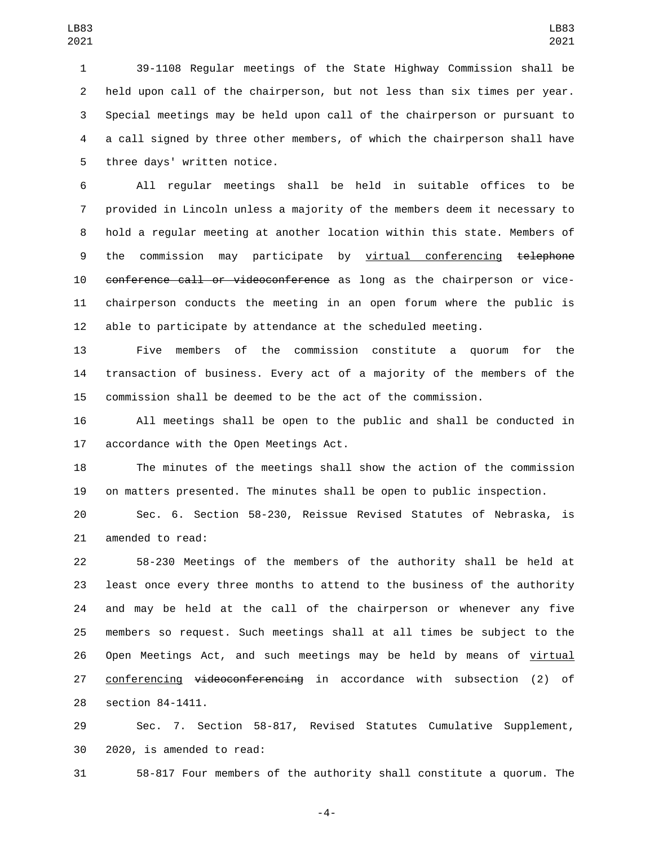39-1108 Regular meetings of the State Highway Commission shall be held upon call of the chairperson, but not less than six times per year. Special meetings may be held upon call of the chairperson or pursuant to a call signed by three other members, of which the chairperson shall have 5 three days' written notice.

 All regular meetings shall be held in suitable offices to be provided in Lincoln unless a majority of the members deem it necessary to hold a regular meeting at another location within this state. Members of 9 the commission may participate by virtual conferencing telephone 10 conference call or videoconference as long as the chairperson or vice- chairperson conducts the meeting in an open forum where the public is able to participate by attendance at the scheduled meeting.

 Five members of the commission constitute a quorum for the transaction of business. Every act of a majority of the members of the commission shall be deemed to be the act of the commission.

 All meetings shall be open to the public and shall be conducted in 17 accordance with the Open Meetings Act.

 The minutes of the meetings shall show the action of the commission on matters presented. The minutes shall be open to public inspection.

 Sec. 6. Section 58-230, Reissue Revised Statutes of Nebraska, is 21 amended to read:

 58-230 Meetings of the members of the authority shall be held at least once every three months to attend to the business of the authority and may be held at the call of the chairperson or whenever any five members so request. Such meetings shall at all times be subject to the Open Meetings Act, and such meetings may be held by means of virtual 27 conferencing videoconferencing in accordance with subsection (2) of 28 section 84-1411.

 Sec. 7. Section 58-817, Revised Statutes Cumulative Supplement, 30 2020, is amended to read:

58-817 Four members of the authority shall constitute a quorum. The

-4-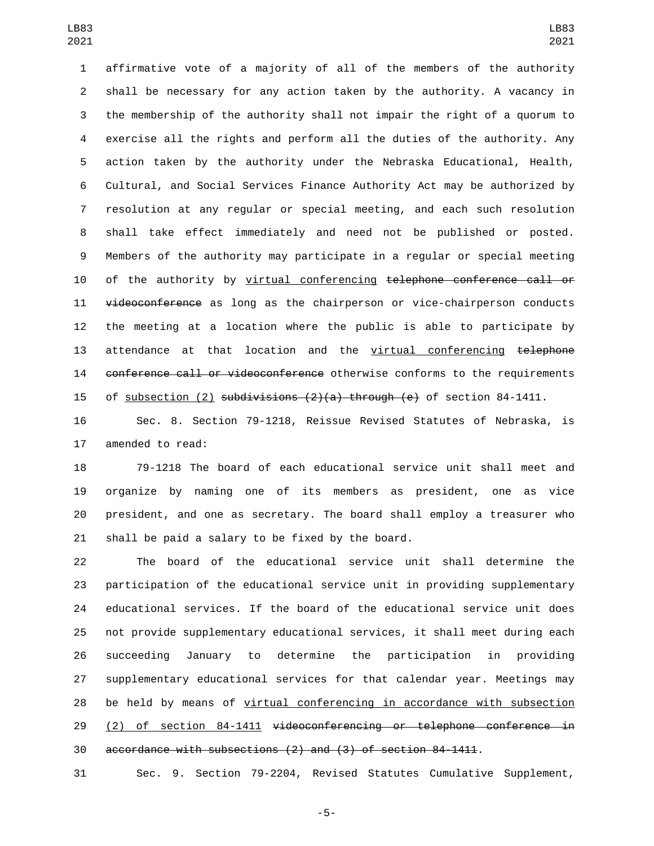affirmative vote of a majority of all of the members of the authority shall be necessary for any action taken by the authority. A vacancy in the membership of the authority shall not impair the right of a quorum to exercise all the rights and perform all the duties of the authority. Any action taken by the authority under the Nebraska Educational, Health, Cultural, and Social Services Finance Authority Act may be authorized by resolution at any regular or special meeting, and each such resolution shall take effect immediately and need not be published or posted. Members of the authority may participate in a regular or special meeting of the authority by virtual conferencing telephone conference call or 11 videoconference as long as the chairperson or vice-chairperson conducts the meeting at a location where the public is able to participate by 13 attendance at that location and the virtual conferencing telephone 14 conference call or videoconference otherwise conforms to the requirements 15 of subsection (2) subdivisions  $(2)(a)$  through  $(e)$  of section 84-1411.

 Sec. 8. Section 79-1218, Reissue Revised Statutes of Nebraska, is 17 amended to read:

 79-1218 The board of each educational service unit shall meet and organize by naming one of its members as president, one as vice president, and one as secretary. The board shall employ a treasurer who 21 shall be paid a salary to be fixed by the board.

 The board of the educational service unit shall determine the participation of the educational service unit in providing supplementary educational services. If the board of the educational service unit does not provide supplementary educational services, it shall meet during each succeeding January to determine the participation in providing supplementary educational services for that calendar year. Meetings may be held by means of virtual conferencing in accordance with subsection (2) of section 84-1411 videoconferencing or telephone conference in accordance with subsections (2) and (3) of section 84-1411.

Sec. 9. Section 79-2204, Revised Statutes Cumulative Supplement,

-5-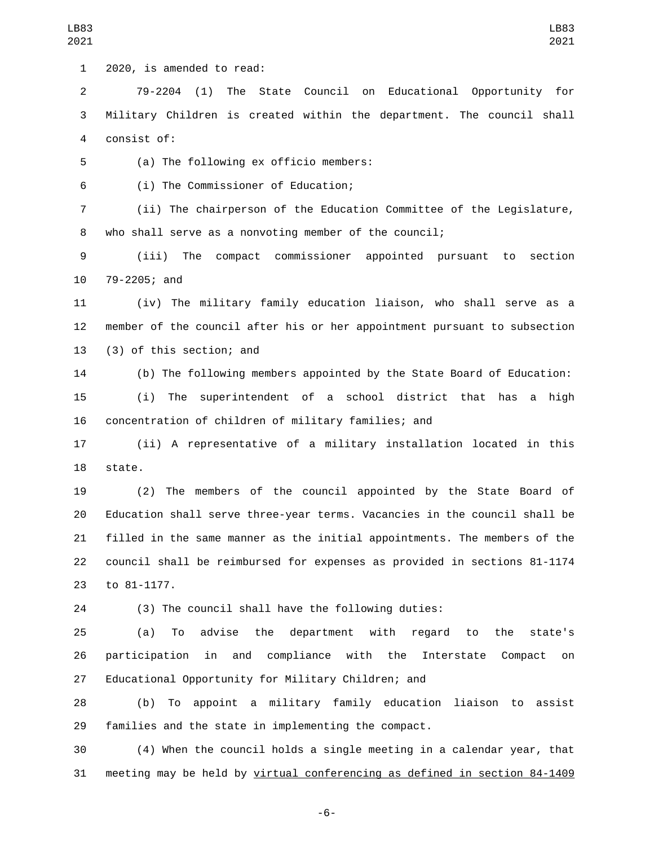1 2020, is amended to read:

 79-2204 (1) The State Council on Educational Opportunity for Military Children is created within the department. The council shall 4 consist of:

5 (a) The following ex officio members:

(i) The Commissioner of Education;6

 (ii) The chairperson of the Education Committee of the Legislature, who shall serve as a nonvoting member of the council;

 (iii) The compact commissioner appointed pursuant to section 10 79-2205; and

 (iv) The military family education liaison, who shall serve as a member of the council after his or her appointment pursuant to subsection 13 (3) of this section; and

 (b) The following members appointed by the State Board of Education: (i) The superintendent of a school district that has a high concentration of children of military families; and

 (ii) A representative of a military installation located in this 18 state.

 (2) The members of the council appointed by the State Board of Education shall serve three-year terms. Vacancies in the council shall be filled in the same manner as the initial appointments. The members of the council shall be reimbursed for expenses as provided in sections 81-1174 23 to 81-1177.

(3) The council shall have the following duties:

 (a) To advise the department with regard to the state's participation in and compliance with the Interstate Compact on Educational Opportunity for Military Children; and

 (b) To appoint a military family education liaison to assist families and the state in implementing the compact.

 (4) When the council holds a single meeting in a calendar year, that meeting may be held by virtual conferencing as defined in section 84-1409

LB83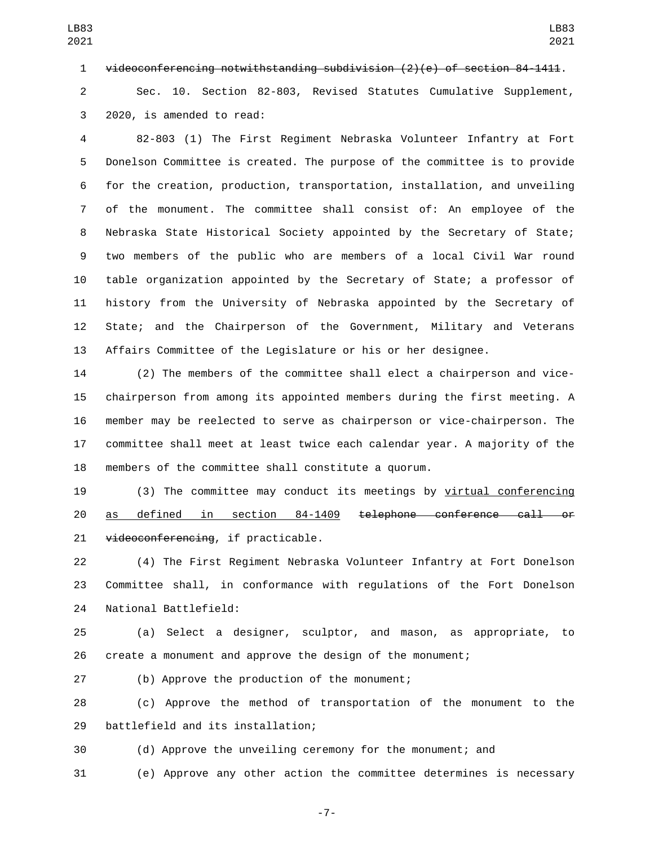videoconferencing notwithstanding subdivision (2)(e) of section 84-1411.

 Sec. 10. Section 82-803, Revised Statutes Cumulative Supplement, 3 2020, is amended to read:

 82-803 (1) The First Regiment Nebraska Volunteer Infantry at Fort Donelson Committee is created. The purpose of the committee is to provide for the creation, production, transportation, installation, and unveiling of the monument. The committee shall consist of: An employee of the Nebraska State Historical Society appointed by the Secretary of State; two members of the public who are members of a local Civil War round table organization appointed by the Secretary of State; a professor of history from the University of Nebraska appointed by the Secretary of State; and the Chairperson of the Government, Military and Veterans Affairs Committee of the Legislature or his or her designee.

 (2) The members of the committee shall elect a chairperson and vice- chairperson from among its appointed members during the first meeting. A member may be reelected to serve as chairperson or vice-chairperson. The committee shall meet at least twice each calendar year. A majority of the members of the committee shall constitute a quorum.

 (3) The committee may conduct its meetings by virtual conferencing as defined in section 84-1409 telephone conference call or 21 videoconferencing, if practicable.

 (4) The First Regiment Nebraska Volunteer Infantry at Fort Donelson Committee shall, in conformance with regulations of the Fort Donelson 24 National Battlefield:

 (a) Select a designer, sculptor, and mason, as appropriate, to create a monument and approve the design of the monument;

27 (b) Approve the production of the monument;

 (c) Approve the method of transportation of the monument to the 29 battlefield and its installation;

(d) Approve the unveiling ceremony for the monument; and

(e) Approve any other action the committee determines is necessary

-7-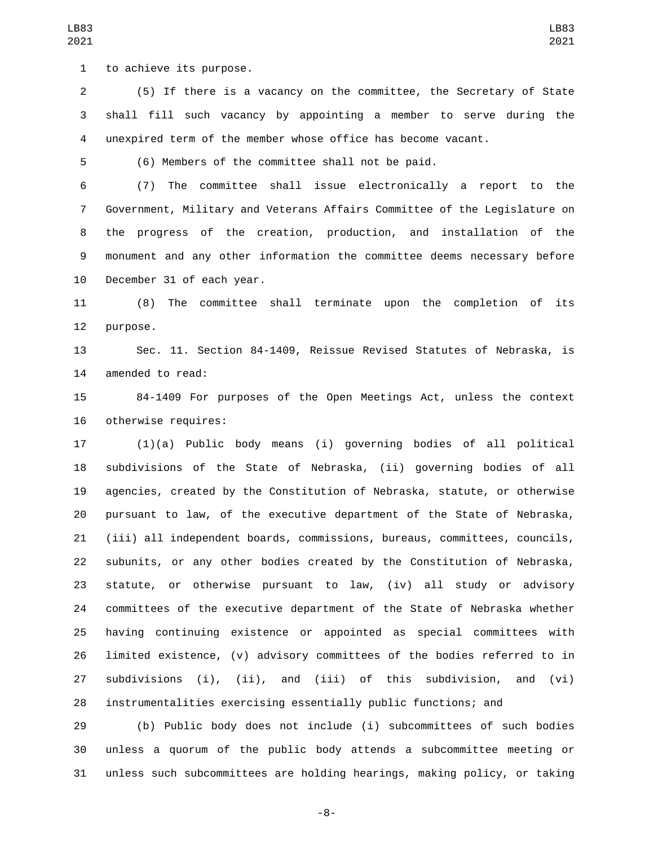1 to achieve its purpose.

 (5) If there is a vacancy on the committee, the Secretary of State shall fill such vacancy by appointing a member to serve during the unexpired term of the member whose office has become vacant.

(6) Members of the committee shall not be paid.

 (7) The committee shall issue electronically a report to the Government, Military and Veterans Affairs Committee of the Legislature on the progress of the creation, production, and installation of the monument and any other information the committee deems necessary before 10 December 31 of each year.

 (8) The committee shall terminate upon the completion of its 12 purpose.

 Sec. 11. Section 84-1409, Reissue Revised Statutes of Nebraska, is 14 amended to read:

 84-1409 For purposes of the Open Meetings Act, unless the context 16 otherwise requires:

 (1)(a) Public body means (i) governing bodies of all political subdivisions of the State of Nebraska, (ii) governing bodies of all agencies, created by the Constitution of Nebraska, statute, or otherwise pursuant to law, of the executive department of the State of Nebraska, (iii) all independent boards, commissions, bureaus, committees, councils, subunits, or any other bodies created by the Constitution of Nebraska, statute, or otherwise pursuant to law, (iv) all study or advisory committees of the executive department of the State of Nebraska whether having continuing existence or appointed as special committees with limited existence, (v) advisory committees of the bodies referred to in subdivisions (i), (ii), and (iii) of this subdivision, and (vi) instrumentalities exercising essentially public functions; and

 (b) Public body does not include (i) subcommittees of such bodies unless a quorum of the public body attends a subcommittee meeting or unless such subcommittees are holding hearings, making policy, or taking

-8-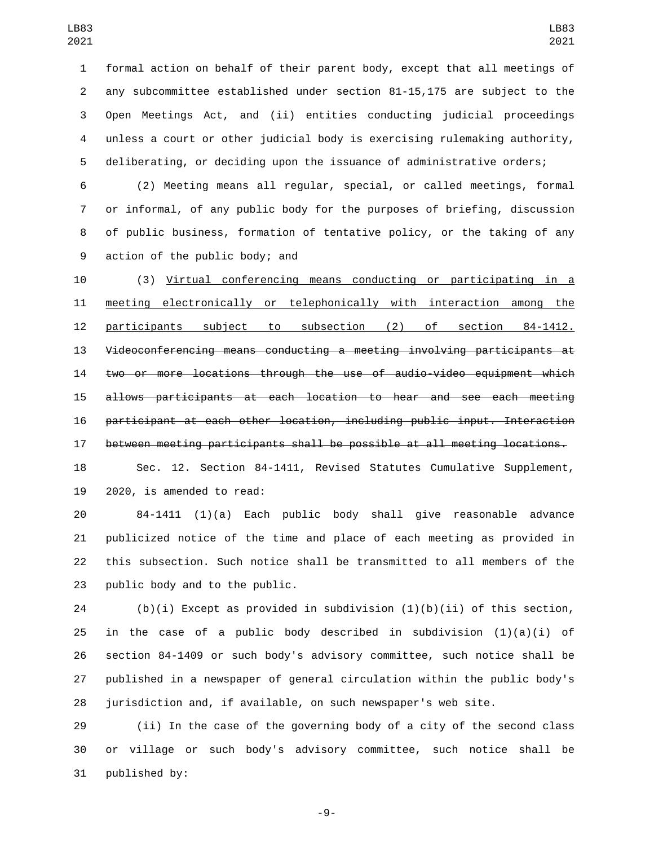formal action on behalf of their parent body, except that all meetings of any subcommittee established under section 81-15,175 are subject to the Open Meetings Act, and (ii) entities conducting judicial proceedings unless a court or other judicial body is exercising rulemaking authority, deliberating, or deciding upon the issuance of administrative orders;

 (2) Meeting means all regular, special, or called meetings, formal or informal, of any public body for the purposes of briefing, discussion of public business, formation of tentative policy, or the taking of any 9 action of the public body; and

 (3) Virtual conferencing means conducting or participating in a meeting electronically or telephonically with interaction among the participants subject to subsection (2) of section 84-1412. Videoconferencing means conducting a meeting involving participants at two or more locations through the use of audio-video equipment which allows participants at each location to hear and see each meeting participant at each other location, including public input. Interaction between meeting participants shall be possible at all meeting locations.

 Sec. 12. Section 84-1411, Revised Statutes Cumulative Supplement, 2020, is amended to read:

 84-1411 (1)(a) Each public body shall give reasonable advance publicized notice of the time and place of each meeting as provided in this subsection. Such notice shall be transmitted to all members of the 23 public body and to the public.

24 (b)(i) Except as provided in subdivision  $(1)(b)(ii)$  of this section, 25 in the case of a public body described in subdivision  $(1)(a)(i)$  of section 84-1409 or such body's advisory committee, such notice shall be published in a newspaper of general circulation within the public body's jurisdiction and, if available, on such newspaper's web site.

 (ii) In the case of the governing body of a city of the second class or village or such body's advisory committee, such notice shall be 31 published by:

-9-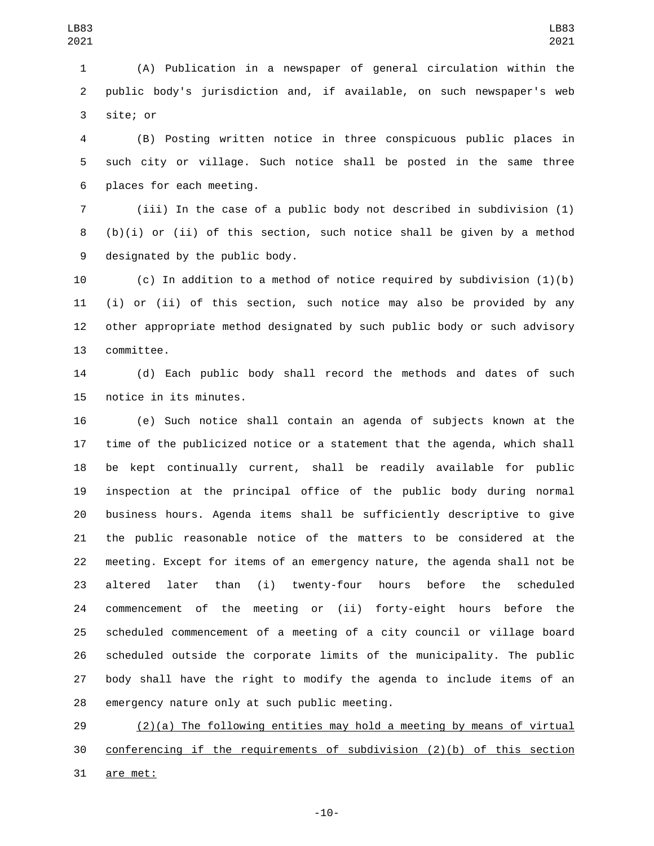(A) Publication in a newspaper of general circulation within the public body's jurisdiction and, if available, on such newspaper's web 3 site; or

 (B) Posting written notice in three conspicuous public places in such city or village. Such notice shall be posted in the same three 6 places for each meeting.

 (iii) In the case of a public body not described in subdivision (1) (b)(i) or (ii) of this section, such notice shall be given by a method 9 designated by the public body.

 (c) In addition to a method of notice required by subdivision (1)(b) (i) or (ii) of this section, such notice may also be provided by any other appropriate method designated by such public body or such advisory 13 committee.

 (d) Each public body shall record the methods and dates of such 15 notice in its minutes.

 (e) Such notice shall contain an agenda of subjects known at the time of the publicized notice or a statement that the agenda, which shall be kept continually current, shall be readily available for public inspection at the principal office of the public body during normal business hours. Agenda items shall be sufficiently descriptive to give the public reasonable notice of the matters to be considered at the meeting. Except for items of an emergency nature, the agenda shall not be altered later than (i) twenty-four hours before the scheduled commencement of the meeting or (ii) forty-eight hours before the scheduled commencement of a meeting of a city council or village board scheduled outside the corporate limits of the municipality. The public body shall have the right to modify the agenda to include items of an 28 emergency nature only at such public meeting.

 (2)(a) The following entities may hold a meeting by means of virtual conferencing if the requirements of subdivision (2)(b) of this section 31 are met:

-10-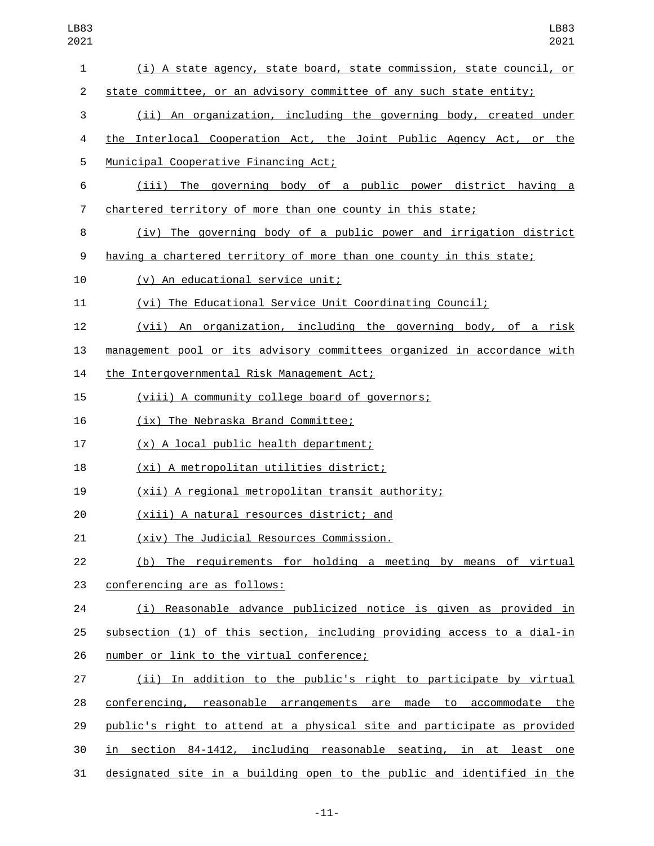| LB83<br>2021   | LB83<br>2021                                                            |
|----------------|-------------------------------------------------------------------------|
| $\mathbf{1}$   | (i) A state agency, state board, state commission, state council, or    |
| $\overline{2}$ | state committee, or an advisory committee of any such state entity;     |
| 3              | (ii) An organization, including the governing body, created under       |
| 4              | the Interlocal Cooperation Act, the Joint Public Agency Act, or the     |
| 5              | Municipal Cooperative Financing Act;                                    |
| 6              | (iii) The governing body of a public power district having a            |
| $\overline{7}$ | chartered territory of more than one county in this state;              |
| 8              | (iv) The governing body of a public power and irrigation district       |
| 9              | having a chartered territory of more than one county in this state;     |
| 10             | (v) An educational service unit;                                        |
| 11             | (vi) The Educational Service Unit Coordinating Council;                 |
| 12             | (vii) An organization, including the governing body, of a risk          |
| 13             | management pool or its advisory committees organized in accordance with |
| 14             | the Intergovernmental Risk Management Act;                              |
| 15             | (viii) A community college board of governors;                          |
| 16             | (ix) The Nebraska Brand Committee;                                      |
| 17             | (x) A local public health department;                                   |
| 18             | (xi) A metropolitan utilities district;                                 |
| 19             | (xii) A regional metropolitan transit authority;                        |
| 20             | (xiii) A natural resources district; and                                |
| 21             | (xiv) The Judicial Resources Commission.                                |
| 22             | (b) The requirements for holding a meeting by means of virtual          |
| 23             | conferencing are as follows:                                            |
| 24             | (i) Reasonable advance publicized notice is given as provided in        |
| 25             | subsection (1) of this section, including providing access to a dial-in |
| 26             | number or link to the virtual conference;                               |
| 27             | (ii) In addition to the public's right to participate by virtual        |
| 28             | conferencing, reasonable arrangements are made to accommodate the       |
| 29             | public's right to attend at a physical site and participate as provided |
| 30             | in section 84-1412, including reasonable seating, in at least one       |
| 31             | designated site in a building open to the public and identified in the  |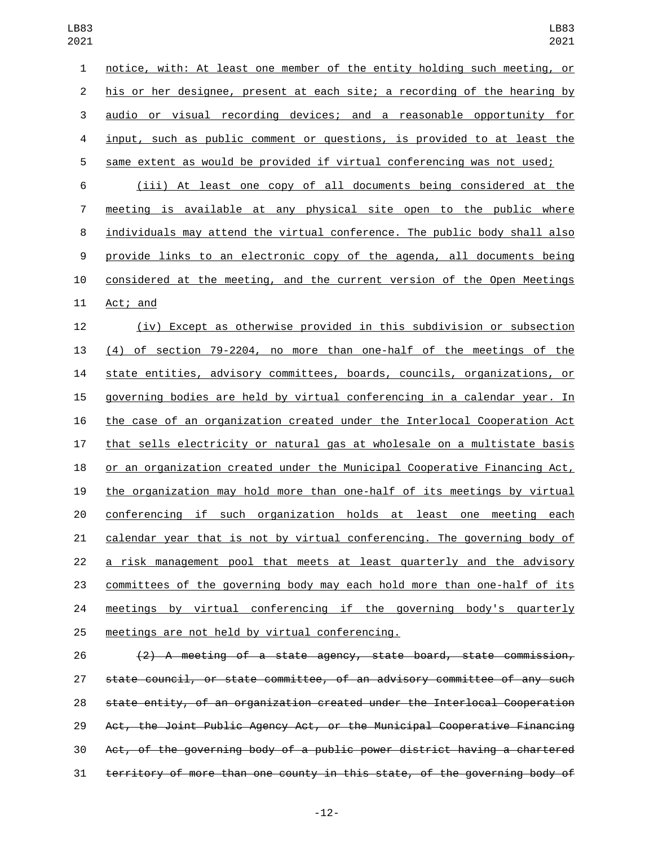| ບ∠⊥            | ∠∪∠⊥                                                                      |
|----------------|---------------------------------------------------------------------------|
| 1              | notice, with: At least one member of the entity holding such meeting, or  |
| $\overline{2}$ | his or her designee, present at each site; a recording of the hearing by  |
| 3              | audio or visual recording devices; and a reasonable opportunity for       |
| 4              | input, such as public comment or questions, is provided to at least the   |
| 5              | same extent as would be provided if virtual conferencing was not used;    |
| 6              | (iii) At least one copy of all documents being considered at the          |
| 7              | meeting is available at any physical site open to the public where        |
| 8              | individuals may attend the virtual conference. The public body shall also |
| 9              | provide links to an electronic copy of the agenda, all documents being    |
| 10             | considered at the meeting, and the current version of the Open Meetings   |
| 11             | Act; and                                                                  |
| 12             | (iv) Except as otherwise provided in this subdivision or subsection       |
| 13             | (4) of section 79-2204, no more than one-half of the meetings of the      |
| 14             | state entities, advisory committees, boards, councils, organizations, or  |
| 15             | governing bodies are held by virtual conferencing in a calendar year. In  |
| 16             | the case of an organization created under the Interlocal Cooperation Act  |
| 17             | that sells electricity or natural gas at wholesale on a multistate basis  |
| 18             | or an organization created under the Municipal Cooperative Financing Act, |
| 19             | the organization may hold more than one-half of its meetings by virtual   |
| 20             | conferencing if such organization holds at least one meeting each         |
| 21             | calendar year that is not by virtual conferencing. The governing body of  |
| 22             | a risk management pool that meets at least quarterly and the advisory     |
| 23             | committees of the governing body may each hold more than one-half of its  |
| 24             | meetings by virtual conferencing if the governing body's quarterly        |
| 25             | meetings are not held by virtual conferencing.                            |
| 26             | (2) A meeting of a state agency, state board, state commission,           |
| 27             | state council, or state committee, of an advisory committee of any such   |

 state entity, of an organization created under the Interlocal Cooperation Act, the Joint Public Agency Act, or the Municipal Cooperative Financing Act, of the governing body of a public power district having a chartered territory of more than one county in this state, of the governing body of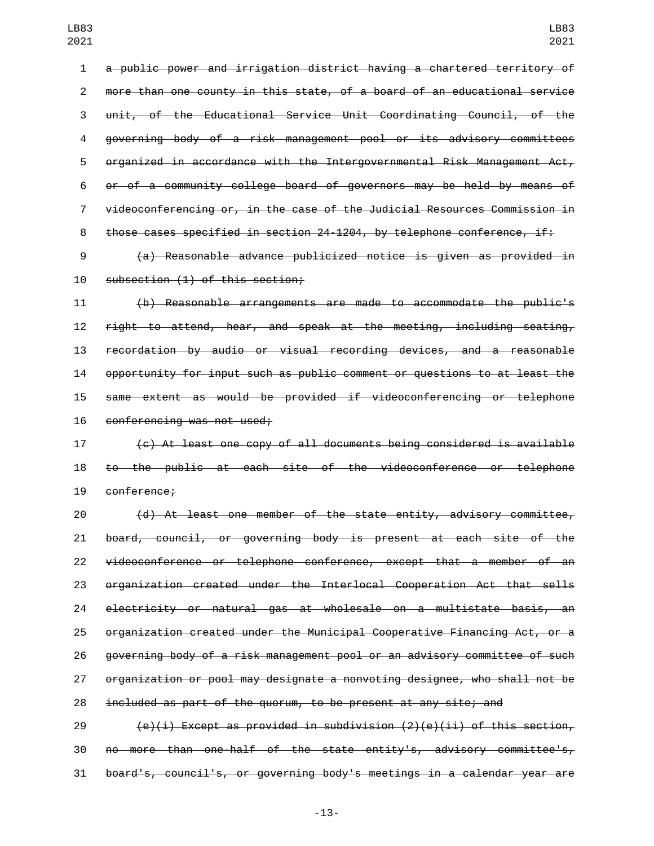a public power and irrigation district having a chartered territory of more than one county in this state, of a board of an educational service unit, of the Educational Service Unit Coordinating Council, of the governing body of a risk management pool or its advisory committees organized in accordance with the Intergovernmental Risk Management Act, or of a community college board of governors may be held by means of videoconferencing or, in the case of the Judicial Resources Commission in 8 those cases specified in section 24-1204, by telephone conference, if:

 (a) Reasonable advance publicized notice is given as provided in 10 subsection (1) of this section;

 (b) Reasonable arrangements are made to accommodate the public's right to attend, hear, and speak at the meeting, including seating, recordation by audio or visual recording devices, and a reasonable opportunity for input such as public comment or questions to at least the same extent as would be provided if videoconferencing or telephone 16 conferencing was not used;

 (c) At least one copy of all documents being considered is available to the public at each site of the videoconference or telephone 19 conference:

 (d) At least one member of the state entity, advisory committee, board, council, or governing body is present at each site of the videoconference or telephone conference, except that a member of an organization created under the Interlocal Cooperation Act that sells electricity or natural gas at wholesale on a multistate basis, an organization created under the Municipal Cooperative Financing Act, or a governing body of a risk management pool or an advisory committee of such organization or pool may designate a nonvoting designee, who shall not be included as part of the quorum, to be present at any site; and

29  $(e)(i)$  Except as provided in subdivision  $(2)(e)(ii)$  of this section, no more than one-half of the state entity's, advisory committee's, board's, council's, or governing body's meetings in a calendar year are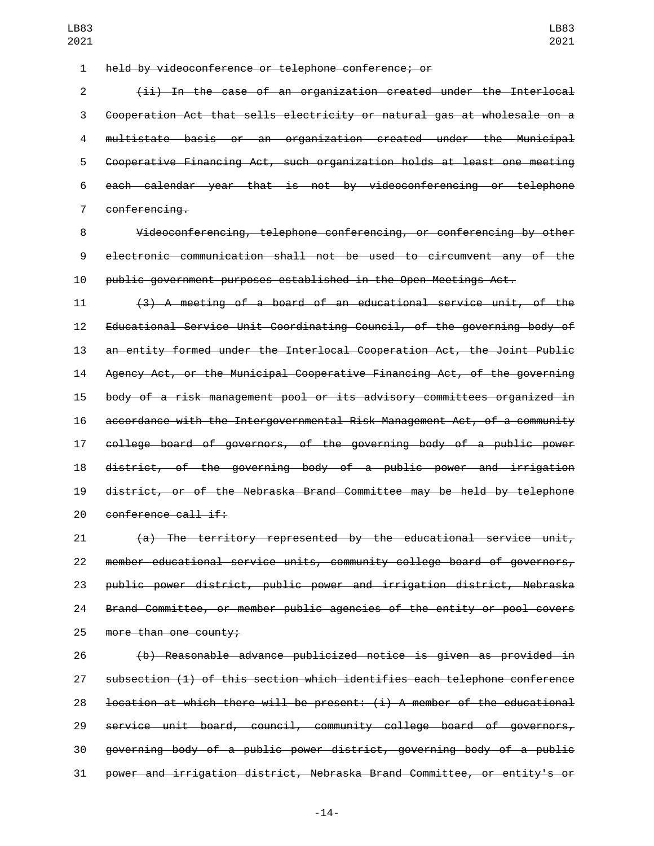held by videoconference or telephone conference; or

 (ii) In the case of an organization created under the Interlocal Cooperation Act that sells electricity or natural gas at wholesale on a multistate basis or an organization created under the Municipal Cooperative Financing Act, such organization holds at least one meeting each calendar year that is not by videoconferencing or telephone 7 conferencing.

 Videoconferencing, telephone conferencing, or conferencing by other electronic communication shall not be used to circumvent any of the public government purposes established in the Open Meetings Act.

 (3) A meeting of a board of an educational service unit, of the Educational Service Unit Coordinating Council, of the governing body of an entity formed under the Interlocal Cooperation Act, the Joint Public Agency Act, or the Municipal Cooperative Financing Act, of the governing body of a risk management pool or its advisory committees organized in accordance with the Intergovernmental Risk Management Act, of a community college board of governors, of the governing body of a public power district, of the governing body of a public power and irrigation district, or of the Nebraska Brand Committee may be held by telephone 20 conference call if:

 (a) The territory represented by the educational service unit, member educational service units, community college board of governors, public power district, public power and irrigation district, Nebraska Brand Committee, or member public agencies of the entity or pool covers 25 more than one county;

 (b) Reasonable advance publicized notice is given as provided in subsection (1) of this section which identifies each telephone conference location at which there will be present: (i) A member of the educational service unit board, council, community college board of governors, governing body of a public power district, governing body of a public power and irrigation district, Nebraska Brand Committee, or entity's or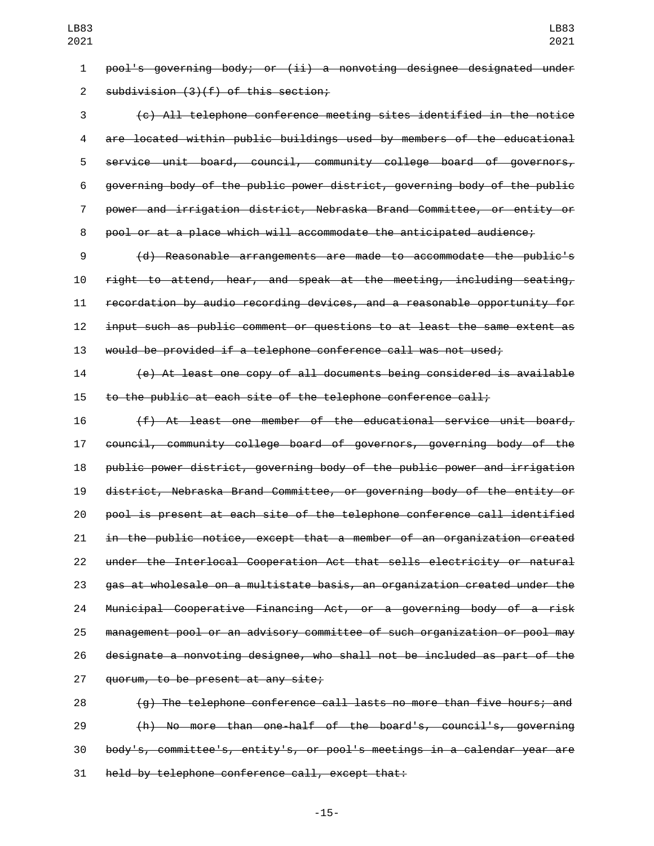pool's governing body; or (ii) a nonvoting designee designated under 2 subdivision (3)(f) of this section;

 (c) All telephone conference meeting sites identified in the notice are located within public buildings used by members of the educational service unit board, council, community college board of governors, governing body of the public power district, governing body of the public power and irrigation district, Nebraska Brand Committee, or entity or pool or at a place which will accommodate the anticipated audience;

 (d) Reasonable arrangements are made to accommodate the public's right to attend, hear, and speak at the meeting, including seating, recordation by audio recording devices, and a reasonable opportunity for input such as public comment or questions to at least the same extent as would be provided if a telephone conference call was not used;

 (e) At least one copy of all documents being considered is available to the public at each site of the telephone conference call;

 (f) At least one member of the educational service unit board, council, community college board of governors, governing body of the public power district, governing body of the public power and irrigation district, Nebraska Brand Committee, or governing body of the entity or pool is present at each site of the telephone conference call identified in the public notice, except that a member of an organization created under the Interlocal Cooperation Act that sells electricity or natural gas at wholesale on a multistate basis, an organization created under the Municipal Cooperative Financing Act, or a governing body of a risk management pool or an advisory committee of such organization or pool may designate a nonvoting designee, who shall not be included as part of the 27 guorum, to be present at any site;

 (g) The telephone conference call lasts no more than five hours; and (h) No more than one-half of the board's, council's, governing body's, committee's, entity's, or pool's meetings in a calendar year are 31 held by telephone conference call, except that: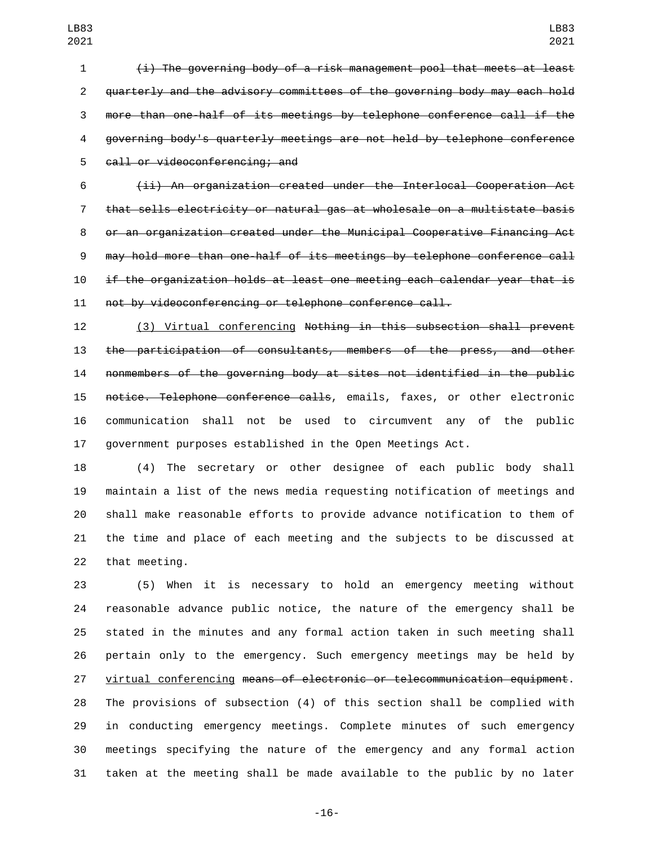(i) The governing body of a risk management pool that meets at least quarterly and the advisory committees of the governing body may each hold more than one-half of its meetings by telephone conference call if the governing body's quarterly meetings are not held by telephone conference 5 call or videoconferencing; and

 (ii) An organization created under the Interlocal Cooperation Act that sells electricity or natural gas at wholesale on a multistate basis or an organization created under the Municipal Cooperative Financing Act may hold more than one-half of its meetings by telephone conference call if the organization holds at least one meeting each calendar year that is not by videoconferencing or telephone conference call.

 (3) Virtual conferencing Nothing in this subsection shall prevent the participation of consultants, members of the press, and other nonmembers of the governing body at sites not identified in the public notice. Telephone conference calls, emails, faxes, or other electronic communication shall not be used to circumvent any of the public government purposes established in the Open Meetings Act.

 (4) The secretary or other designee of each public body shall maintain a list of the news media requesting notification of meetings and shall make reasonable efforts to provide advance notification to them of the time and place of each meeting and the subjects to be discussed at 22 that meeting.

 (5) When it is necessary to hold an emergency meeting without reasonable advance public notice, the nature of the emergency shall be stated in the minutes and any formal action taken in such meeting shall pertain only to the emergency. Such emergency meetings may be held by virtual conferencing means of electronic or telecommunication equipment. The provisions of subsection (4) of this section shall be complied with in conducting emergency meetings. Complete minutes of such emergency meetings specifying the nature of the emergency and any formal action taken at the meeting shall be made available to the public by no later

-16-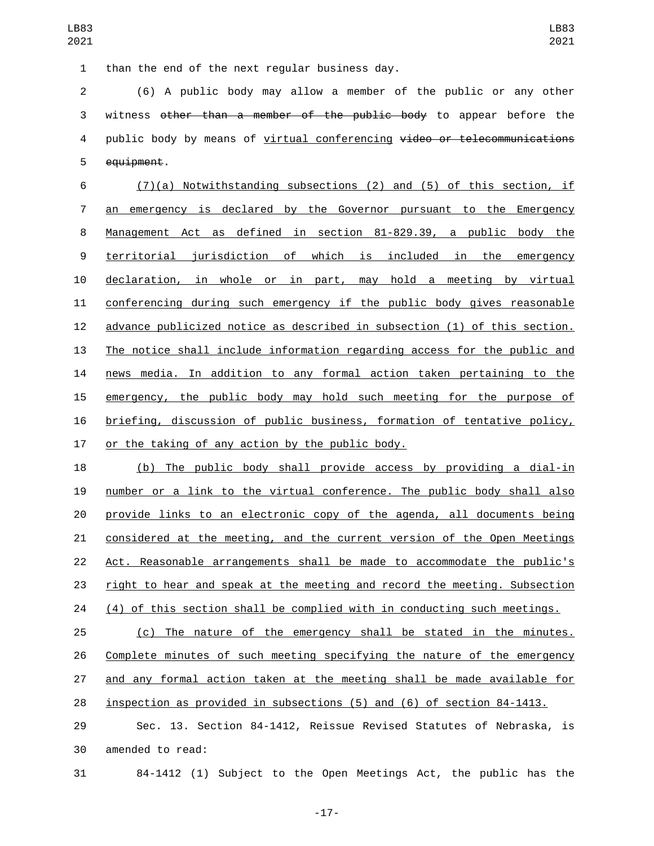1 than the end of the next regular business day.

 (6) A public body may allow a member of the public or any other witness other than a member of the public body to appear before the 4 public body by means of virtual conferencing video or telecommunications 5 equipment.

 (7)(a) Notwithstanding subsections (2) and (5) of this section, if an emergency is declared by the Governor pursuant to the Emergency Management Act as defined in section 81-829.39, a public body the territorial jurisdiction of which is included in the emergency declaration, in whole or in part, may hold a meeting by virtual conferencing during such emergency if the public body gives reasonable advance publicized notice as described in subsection (1) of this section. The notice shall include information regarding access for the public and news media. In addition to any formal action taken pertaining to the emergency, the public body may hold such meeting for the purpose of briefing, discussion of public business, formation of tentative policy, 17 or the taking of any action by the public body.

 (b) The public body shall provide access by providing a dial-in number or a link to the virtual conference. The public body shall also provide links to an electronic copy of the agenda, all documents being considered at the meeting, and the current version of the Open Meetings Act. Reasonable arrangements shall be made to accommodate the public's right to hear and speak at the meeting and record the meeting. Subsection (4) of this section shall be complied with in conducting such meetings.

 (c) The nature of the emergency shall be stated in the minutes. Complete minutes of such meeting specifying the nature of the emergency and any formal action taken at the meeting shall be made available for inspection as provided in subsections (5) and (6) of section 84-1413.

 Sec. 13. Section 84-1412, Reissue Revised Statutes of Nebraska, is 30 amended to read:

84-1412 (1) Subject to the Open Meetings Act, the public has the

-17-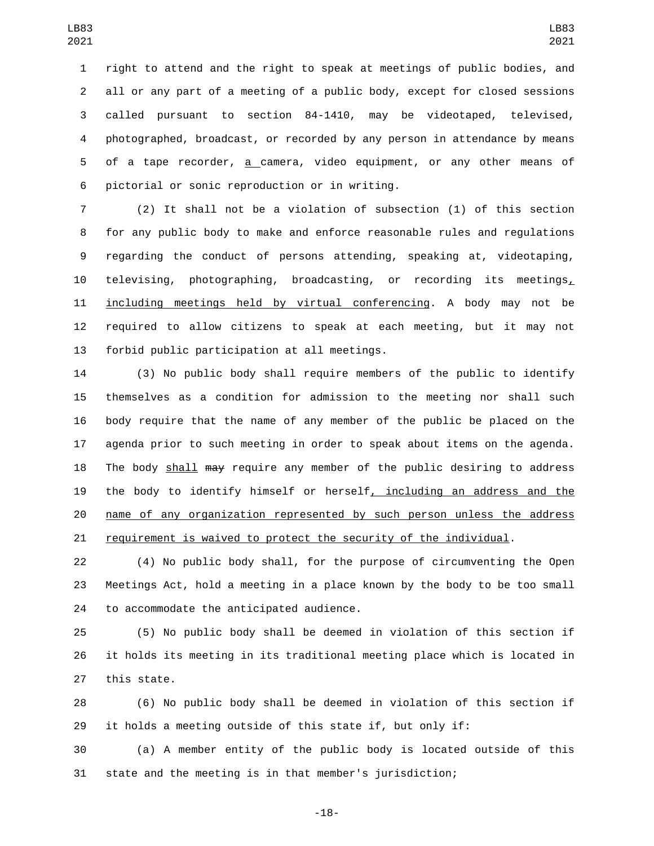right to attend and the right to speak at meetings of public bodies, and all or any part of a meeting of a public body, except for closed sessions called pursuant to section 84-1410, may be videotaped, televised, photographed, broadcast, or recorded by any person in attendance by means of a tape recorder, a camera, video equipment, or any other means of 6 pictorial or sonic reproduction or in writing.

 (2) It shall not be a violation of subsection (1) of this section for any public body to make and enforce reasonable rules and regulations regarding the conduct of persons attending, speaking at, videotaping, 10 televising, photographing, broadcasting, or recording its meetings, 11 including meetings held by virtual conferencing. A body may not be required to allow citizens to speak at each meeting, but it may not 13 forbid public participation at all meetings.

 (3) No public body shall require members of the public to identify themselves as a condition for admission to the meeting nor shall such body require that the name of any member of the public be placed on the agenda prior to such meeting in order to speak about items on the agenda. 18 The body shall <del>may</del> require any member of the public desiring to address the body to identify himself or herself, including an address and the name of any organization represented by such person unless the address requirement is waived to protect the security of the individual.

 (4) No public body shall, for the purpose of circumventing the Open Meetings Act, hold a meeting in a place known by the body to be too small 24 to accommodate the anticipated audience.

 (5) No public body shall be deemed in violation of this section if it holds its meeting in its traditional meeting place which is located in 27 this state.

 (6) No public body shall be deemed in violation of this section if it holds a meeting outside of this state if, but only if:

 (a) A member entity of the public body is located outside of this state and the meeting is in that member's jurisdiction;

-18-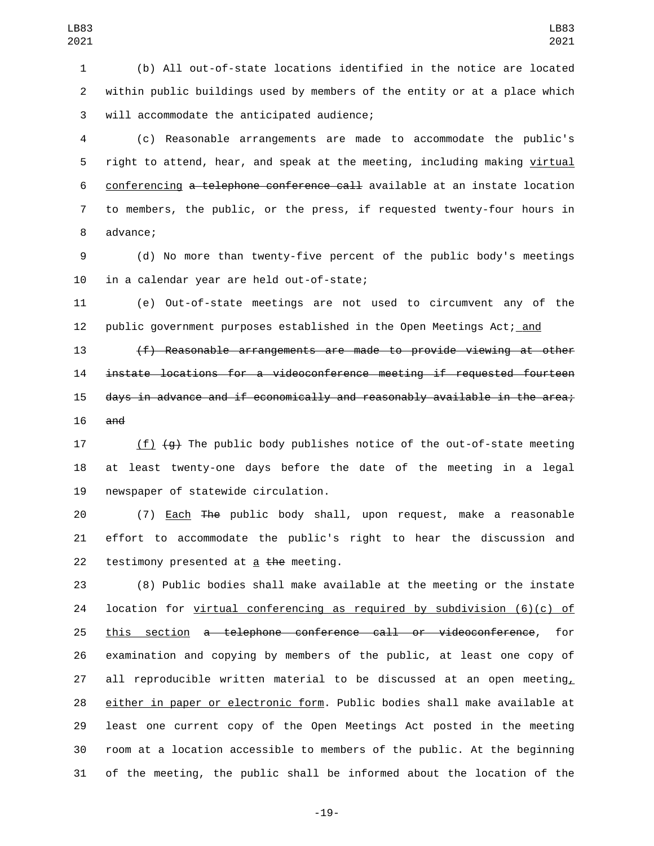LB83 

3 will accommodate the anticipated audience;

 (c) Reasonable arrangements are made to accommodate the public's right to attend, hear, and speak at the meeting, including making virtual conferencing a telephone conference call available at an instate location to members, the public, or the press, if requested twenty-four hours in 8 advance;

 (d) No more than twenty-five percent of the public body's meetings 10 in a calendar year are held out-of-state;

 (e) Out-of-state meetings are not used to circumvent any of the public government purposes established in the Open Meetings Act; and

 (f) Reasonable arrangements are made to provide viewing at other instate locations for a videoconference meeting if requested fourteen days in advance and if economically and reasonably available in the area; and

17  $(f)$   $(g)$  The public body publishes notice of the out-of-state meeting at least twenty-one days before the date of the meeting in a legal 19 newspaper of statewide circulation.

 (7) Each The public body shall, upon request, make a reasonable effort to accommodate the public's right to hear the discussion and 22 testimony presented at  $a$  the meeting.

 (8) Public bodies shall make available at the meeting or the instate location for virtual conferencing as required by subdivision (6)(c) of this section a telephone conference call or videoconference, for examination and copying by members of the public, at least one copy of 27 all reproducible written material to be discussed at an open meeting, either in paper or electronic form. Public bodies shall make available at least one current copy of the Open Meetings Act posted in the meeting room at a location accessible to members of the public. At the beginning of the meeting, the public shall be informed about the location of the

-19-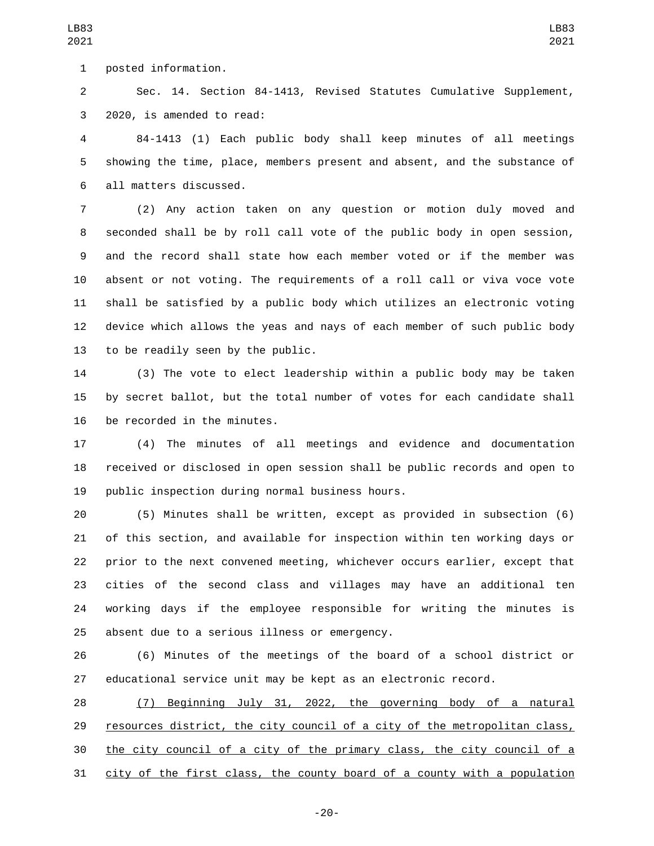1 posted information.

 Sec. 14. Section 84-1413, Revised Statutes Cumulative Supplement, 3 2020, is amended to read:

 84-1413 (1) Each public body shall keep minutes of all meetings showing the time, place, members present and absent, and the substance of 6 all matters discussed.

 (2) Any action taken on any question or motion duly moved and seconded shall be by roll call vote of the public body in open session, and the record shall state how each member voted or if the member was absent or not voting. The requirements of a roll call or viva voce vote shall be satisfied by a public body which utilizes an electronic voting device which allows the yeas and nays of each member of such public body 13 to be readily seen by the public.

 (3) The vote to elect leadership within a public body may be taken by secret ballot, but the total number of votes for each candidate shall 16 be recorded in the minutes.

 (4) The minutes of all meetings and evidence and documentation received or disclosed in open session shall be public records and open to 19 public inspection during normal business hours.

 (5) Minutes shall be written, except as provided in subsection (6) of this section, and available for inspection within ten working days or prior to the next convened meeting, whichever occurs earlier, except that cities of the second class and villages may have an additional ten working days if the employee responsible for writing the minutes is 25 absent due to a serious illness or emergency.

 (6) Minutes of the meetings of the board of a school district or educational service unit may be kept as an electronic record.

 (7) Beginning July 31, 2022, the governing body of a natural 29 resources district, the city council of a city of the metropolitan class, the city council of a city of the primary class, the city council of a city of the first class, the county board of a county with a population

-20-